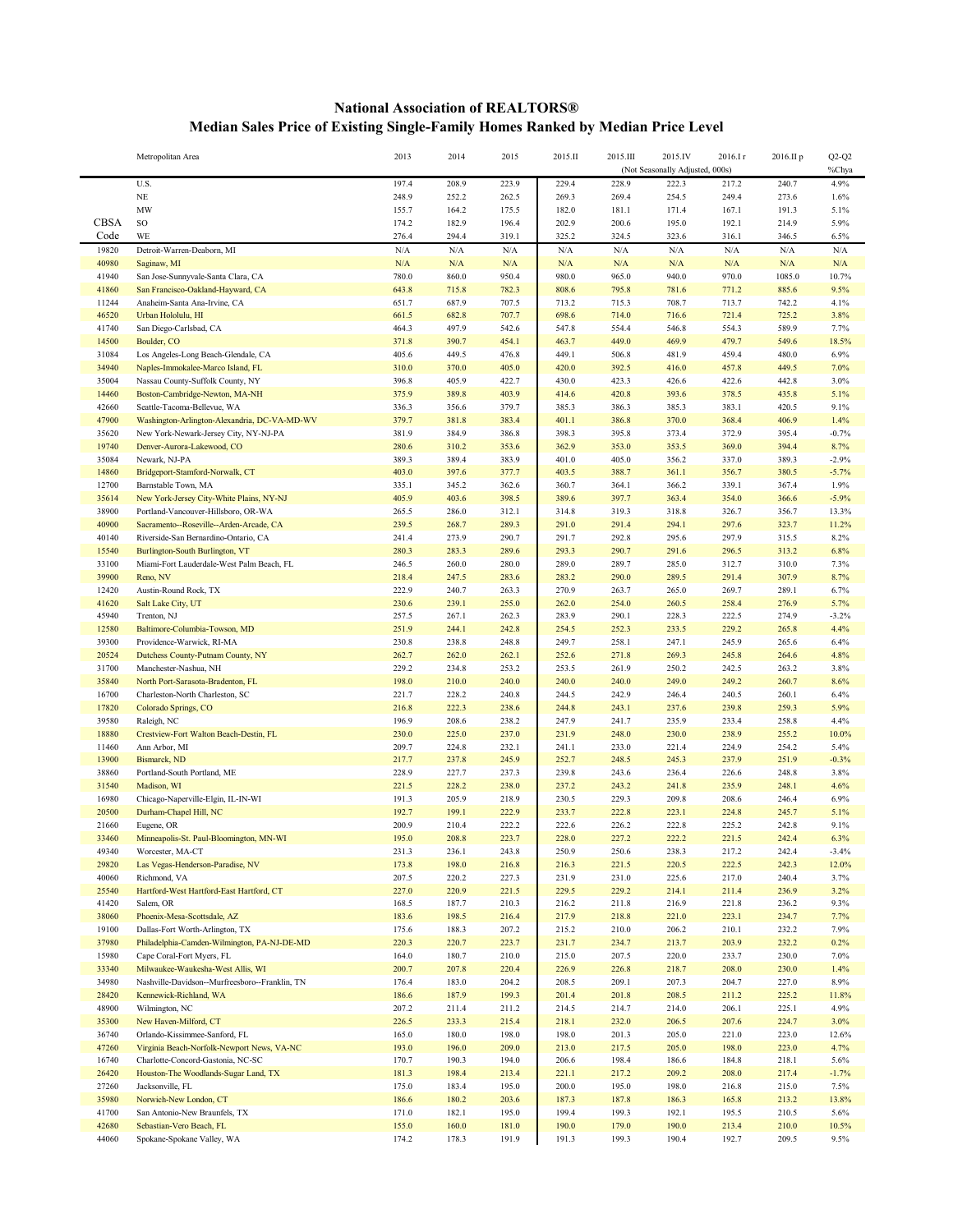## **National Association of REALTORS® Median Sales Price of Existing Single-Family Homes Ranked by Median Price Level**

|                | Metropolitan Area                                                           | 2013           | 2014           | 2015           | 2015.II        | 2015.III       | 2015.IV<br>(Not Seasonally Adjusted, 000s) | 2016.Ir        | 2016.II p      | $Q2-Q2$<br>%Chya |
|----------------|-----------------------------------------------------------------------------|----------------|----------------|----------------|----------------|----------------|--------------------------------------------|----------------|----------------|------------------|
|                | U.S.                                                                        | 197.4          | 208.9          | 223.9          | 229.4          | 228.9          | 222.3                                      | 217.2          | 240.7          | 4.9%             |
|                | $_{\rm NE}$                                                                 | 248.9          | 252.2          | 262.5          | 269.3          | 269.4          | 254.5                                      | 249.4          | 273.6          | 1.6%             |
|                | MW                                                                          | 155.7          | 164.2          | 175.5          | 182.0          | 181.1          | 171.4                                      | 167.1          | 191.3          | 5.1%             |
| CBSA           | SO                                                                          | 174.2          | 182.9          | 196.4          | 202.9          | 200.6          | 195.0                                      | 192.1          | 214.9          | 5.9%             |
| Code           | WE                                                                          | 276.4          | 294.4          | 319.1          | 325.2          | 324.5          | 323.6                                      | 316.1          | 346.5          | 6.5%             |
| 19820          | Detroit-Warren-Deaborn, MI                                                  | N/A            | N/A            | N/A            | N/A            | N/A            | N/A                                        | N/A            | N/A            | N/A              |
| 40980          | Saginaw, MI                                                                 | N/A            | N/A            | N/A            | N/A            | N/A            | N/A                                        | N/A            | N/A            | N/A              |
| 41940          | San Jose-Sunnyvale-Santa Clara, CA                                          | 780.0          | 860.0          | 950.4          | 980.0          | 965.0          | 940.0                                      | 970.0          | 1085.0         | 10.7%            |
| 41860          | San Francisco-Oakland-Hayward, CA                                           | 643.8          | 715.8          | 782.3          | 808.6          | 795.8          | 781.6                                      | 771.2          | 885.6          | 9.5%             |
| 11244          | Anaheim-Santa Ana-Irvine, CA                                                | 651.7          | 687.9          | 707.5          | 713.2          | 715.3          | 708.7                                      | 713.7          | 742.2          | 4.1%             |
| 46520          | Urban Hololulu, HI                                                          | 661.5          | 682.8          | 707.7          | 698.6          | 714.0          | 716.6                                      | 721.4          | 725.2          | 3.8%             |
| 41740          | San Diego-Carlsbad, CA                                                      | 464.3          | 497.9          | 542.6          | 547.8          | 554.4          | 546.8                                      | 554.3          | 589.9          | 7.7%             |
| 14500          | Boulder, CO                                                                 | 371.8          | 390.7          | 454.1          | 463.7          | 449.0          | 469.9                                      | 479.7          | 549.6          | 18.5%            |
| 31084          | Los Angeles-Long Beach-Glendale, CA                                         | 405.6          | 449.5          | 476.8          | 449.1          | 506.8          | 481.9                                      | 459.4          | 480.0          | 6.9%             |
| 34940          | Naples-Immokalee-Marco Island, FL                                           | 310.0          | 370.0          | 405.0          | 420.0          | 392.5          | 416.0                                      | 457.8          | 449.5          | 7.0%             |
| 35004          | Nassau County-Suffolk County, NY                                            | 396.8          | 405.9          | 422.7          | 430.0          | 423.3          | 426.6                                      | 422.6          | 442.8          | 3.0%             |
| 14460          | Boston-Cambridge-Newton, MA-NH                                              | 375.9          | 389.8          | 403.9          | 414.6          | 420.8          | 393.6                                      | 378.5          | 435.8          | 5.1%             |
| 42660          | Seattle-Tacoma-Bellevue, WA                                                 | 336.3          | 356.6          | 379.7          | 385.3          | 386.3          | 385.3                                      | 383.1          | 420.5          | 9.1%             |
| 47900<br>35620 | Washington-Arlington-Alexandria, DC-VA-MD-WV                                | 379.7<br>381.9 | 381.8<br>384.9 | 383.4<br>386.8 | 401.1<br>398.3 | 386.8<br>395.8 | 370.0<br>373.4                             | 368.4<br>372.9 | 406.9<br>395.4 | 1.4%<br>$-0.7%$  |
| 19740          | New York-Newark-Jersey City, NY-NJ-PA<br>Denver-Aurora-Lakewood, CO         | 280.6          | 310.2          | 353.6          | 362.9          | 353.0          | 353.5                                      | 369.0          | 394.4          | 8.7%             |
| 35084          | Newark, NJ-PA                                                               | 389.3          | 389.4          | 383.9          | 401.0          | 405.0          | 356.2                                      | 337.0          | 389.3          | $-2.9%$          |
| 14860          | Bridgeport-Stamford-Norwalk, CT                                             | 403.0          | 397.6          | 377.7          | 403.5          | 388.7          | 361.1                                      | 356.7          | 380.5          | $-5.7%$          |
| 12700          | Barnstable Town, MA                                                         | 335.1          | 345.2          | 362.6          | 360.7          | 364.1          | 366.2                                      | 339.1          | 367.4          | 1.9%             |
| 35614          | New York-Jersey City-White Plains, NY-NJ                                    | 405.9          | 403.6          | 398.5          | 389.6          | 397.7          | 363.4                                      | 354.0          | 366.6          | $-5.9%$          |
| 38900          | Portland-Vancouver-Hillsboro, OR-WA                                         | 265.5          | 286.0          | 312.1          | 314.8          | 319.3          | 318.8                                      | 326.7          | 356.7          | 13.3%            |
| 40900          | Sacramento--Roseville--Arden-Arcade, CA                                     | 239.5          | 268.7          | 289.3          | 291.0          | 291.4          | 294.1                                      | 297.6          | 323.7          | 11.2%            |
| 40140          | Riverside-San Bernardino-Ontario, CA                                        | 241.4          | 273.9          | 290.7          | 291.7          | 292.8          | 295.6                                      | 297.9          | 315.5          | 8.2%             |
| 15540          | Burlington-South Burlington, VT                                             | 280.3          | 283.3          | 289.6          | 293.3          | 290.7          | 291.6                                      | 296.5          | 313.2          | 6.8%             |
| 33100          | Miami-Fort Lauderdale-West Palm Beach, FL                                   | 246.5          | 260.0          | 280.0          | 289.0          | 289.7          | 285.0                                      | 312.7          | 310.0          | 7.3%             |
| 39900          | Reno, NV                                                                    | 218.4          | 247.5          | 283.6          | 283.2          | 290.0          | 289.5                                      | 291.4          | 307.9          | 8.7%             |
| 12420          | Austin-Round Rock, TX                                                       | 222.9          | 240.7          | 263.3          | 270.9          | 263.7          | 265.0                                      | 269.7          | 289.1          | 6.7%             |
| 41620          | Salt Lake City, UT                                                          | 230.6          | 239.1          | 255.0          | 262.0          | 254.0          | 260.5                                      | 258.4          | 276.9          | 5.7%             |
| 45940          | Trenton, NJ                                                                 | 257.5          | 267.1          | 262.3          | 283.9          | 290.1          | 228.3                                      | 222.5          | 274.9          | $-3.2%$          |
| 12580          | Baltimore-Columbia-Towson, MD                                               | 251.9          | 244.1          | 242.8          | 254.5          | 252.3          | 233.5                                      | 229.2          | 265.8          | 4.4%             |
| 39300          | Providence-Warwick, RI-MA                                                   | 230.8          | 238.8          | 248.8          | 249.7          | 258.1          | 247.1                                      | 245.9          | 265.6          | 6.4%             |
| 20524          | Dutchess County-Putnam County, NY                                           | 262.7          | 262.0          | 262.1          | 252.6          | 271.8          | 269.3                                      | 245.8          | 264.6          | 4.8%             |
| 31700          | Manchester-Nashua, NH                                                       | 229.2          | 234.8          | 253.2          | 253.5          | 261.9          | 250.2                                      | 242.5          | 263.2          | 3.8%             |
| 35840          | North Port-Sarasota-Bradenton, FL                                           | 198.0          | 210.0          | 240.0          | 240.0          | 240.0          | 249.0                                      | 249.2          | 260.7          | 8.6%             |
| 16700          | Charleston-North Charleston, SC                                             | 221.7          | 228.2          | 240.8          | 244.5          | 242.9          | 246.4                                      | 240.5          | 260.1          | 6.4%             |
| 17820          | Colorado Springs, CO                                                        | 216.8          | 222.3          | 238.6          | 244.8          | 243.1          | 237.6                                      | 239.8          | 259.3          | 5.9%             |
| 39580<br>18880 | Raleigh, NC<br>Crestview-Fort Walton Beach-Destin, FL                       | 196.9<br>230.0 | 208.6<br>225.0 | 238.2<br>237.0 | 247.9<br>231.9 | 241.7<br>248.0 | 235.9<br>230.0                             | 233.4<br>238.9 | 258.8<br>255.2 | 4.4%<br>10.0%    |
| 11460          | Ann Arbor, MI                                                               | 209.7          | 224.8          | 232.1          | 241.1          | 233.0          | 221.4                                      | 224.9          | 254.2          | 5.4%             |
| 13900          | Bismarck, ND                                                                | 217.7          | 237.8          | 245.9          | 252.7          | 248.5          | 245.3                                      | 237.9          | 251.9          | $-0.3%$          |
| 38860          | Portland-South Portland, ME                                                 | 228.9          | 227.7          | 237.3          | 239.8          | 243.6          | 236.4                                      | 226.6          | 248.8          | 3.8%             |
| 31540          | Madison, WI                                                                 | 221.5          | 228.2          | 238.0          | 237.2          | 243.2          | 241.8                                      | 235.9          | 248.1          | 4.6%             |
| 16980          | Chicago-Naperville-Elgin, IL-IN-WI                                          | 191.3          | 205.9          | 218.9          | 230.5          | 229.3          | 209.8                                      | 208.6          | 246.4          | 6.9%             |
| 20500          | Durham-Chapel Hill, NC                                                      | 192.7          | 199.1          | 222.9          | 233.7          | 222.8          | 223.1                                      | 224.8          | 245.7          | 5.1%             |
| 21660          | Eugene, OR                                                                  | 200.9          | 210.4          | 222.2          | 222.6          | 226.2          | 222.8                                      | 225.2          | 242.8          | 9.1%             |
| 33460          | Minneapolis-St. Paul-Bloomington, MN-WI                                     | 195.0          | 208.8          | 223.7          | 228.0          | 227.2          | 222.2                                      | 221.5          | 242.4          | 6.3%             |
| 49340          | Worcester, MA-CT                                                            | 231.3          | 236.1          | 243.8          | 250.9          | 250.6          | 238.3                                      | 217.2          | 242.4          | $-3.4%$          |
| 29820          | Las Vegas-Henderson-Paradise, NV                                            | 173.8          | 198.0          | 216.8          | 216.3          | 221.5          | 220.5                                      | 222.5          | 242.3          | 12.0%            |
| 40060          | Richmond, VA                                                                | 207.5          | 220.2          | 227.3          | 231.9          | 231.0          | 225.6                                      | 217.0          | 240.4          | 3.7%             |
| 25540          | Hartford-West Hartford-East Hartford, CT                                    | 227.0          | 220.9          | 221.5          | 229.5          | 229.2          | 214.1                                      | 211.4          | 236.9          | 3.2%             |
| 41420          | Salem, OR                                                                   | 168.5          | 187.7          | 210.3          | 216.2          | 211.8          | 216.9                                      | 221.8          | 236.2          | 9.3%             |
| 38060          | Phoenix-Mesa-Scottsdale, AZ                                                 | 183.6          | 198.5          | 216.4          | 217.9          | 218.8          | 221.0                                      | 223.1          | 234.7          | 7.7%             |
| 19100          | Dallas-Fort Worth-Arlington, TX                                             | 175.6          | 188.3          | 207.2          | 215.2          | 210.0          | 206.2                                      | 210.1          | 232.2          | 7.9%             |
| 37980          | Philadelphia-Camden-Wilmington, PA-NJ-DE-MD                                 | 220.3          | 220.7          | 223.7          | 231.7          | 234.7          | 213.7                                      | 203.9          | 232.2          | 0.2%             |
| 15980          | Cape Coral-Fort Myers, FL                                                   | 164.0          | 180.7          | 210.0          | 215.0          | 207.5          | 220.0                                      | 233.7          | 230.0          | 7.0%             |
| 33340          | Milwaukee-Waukesha-West Allis, WI                                           | 200.7          | 207.8          | 220.4          | 226.9          | 226.8          | 218.7                                      | 208.0          | 230.0          | 1.4%             |
| 34980          | Nashville-Davidson--Murfreesboro--Franklin, TN                              | 176.4          | 183.0          | 204.2          | 208.5          | 209.1          | 207.3                                      | 204.7          | 227.0          | 8.9%             |
| 28420          | Kennewick-Richland, WA                                                      | 186.6          | 187.9          | 199.3          | 201.4          | 201.8          | 208.5                                      | 211.2          | 225.2          | 11.8%            |
| 48900          | Wilmington, NC                                                              | 207.2          | 211.4          | 211.2          | 214.5          | 214.7          | 214.0                                      | 206.1          | 225.1          | 4.9%             |
| 35300          | New Haven-Milford, CT                                                       | 226.5          | 233.3          | 215.4          | 218.1          | 232.0          | 206.5                                      | 207.6          | 224.7          | 3.0%             |
| 36740<br>47260 | Orlando-Kissimmee-Sanford, FL<br>Virginia Beach-Norfolk-Newport News, VA-NC | 165.0<br>193.0 | 180.0<br>196.0 | 198.0<br>209.0 | 198.0<br>213.0 | 201.3<br>217.5 | 205.0<br>205.0                             | 221.0<br>198.0 | 223.0<br>223.0 | 12.6%<br>4.7%    |
| 16740          | Charlotte-Concord-Gastonia, NC-SC                                           | 170.7          | 190.3          | 194.0          | 206.6          | 198.4          | 186.6                                      | 184.8          | 218.1          | 5.6%             |
| 26420          | Houston-The Woodlands-Sugar Land, TX                                        | 181.3          | 198.4          | 213.4          | 221.1          | 217.2          | 209.2                                      | 208.0          | 217.4          | $-1.7%$          |
| 27260          | Jacksonville, FL                                                            | 175.0          | 183.4          | 195.0          | 200.0          | 195.0          | 198.0                                      | 216.8          | 215.0          | 7.5%             |
| 35980          | Norwich-New London, CT                                                      | 186.6          | 180.2          | 203.6          | 187.3          | 187.8          | 186.3                                      | 165.8          | 213.2          | 13.8%            |
| 41700          | San Antonio-New Braunfels, TX                                               | 171.0          | 182.1          | 195.0          | 199.4          | 199.3          | 192.1                                      | 195.5          | 210.5          | 5.6%             |
| 42680          | Sebastian-Vero Beach, FL                                                    | 155.0          | 160.0          | 181.0          | 190.0          | 179.0          | 190.0                                      | 213.4          | 210.0          | 10.5%            |
| 44060          | Spokane-Spokane Valley, WA                                                  | 174.2          | 178.3          | 191.9          | 191.3          | 199.3          | 190.4                                      | 192.7          | 209.5          | 9.5%             |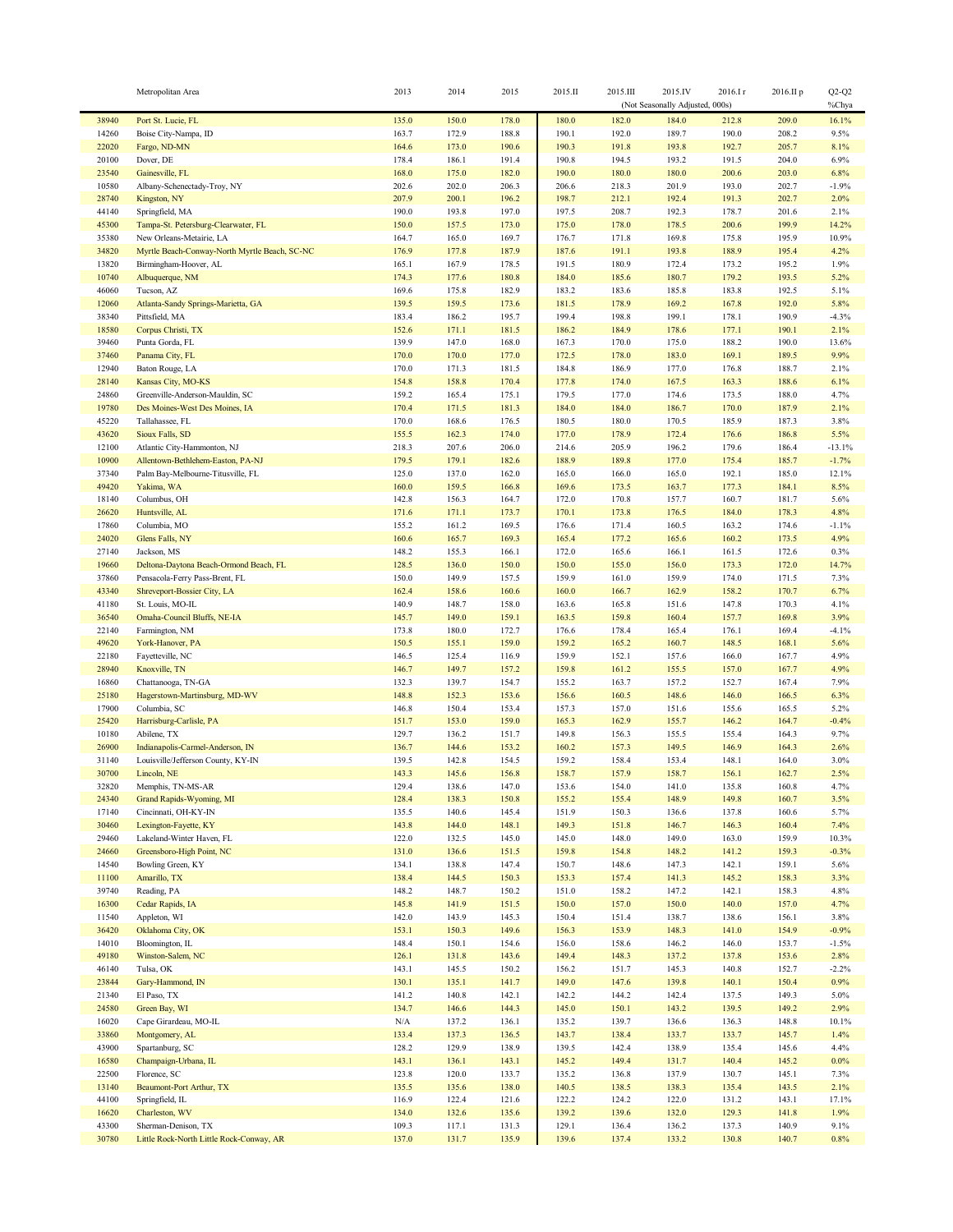|                | Metropolitan Area                                      | 2013           | 2014           | 2015           | 2015.II        | 2015.III       | 2015.IV                         | 2016.Ir        | 2016.II p      | $Q2-Q2$         |
|----------------|--------------------------------------------------------|----------------|----------------|----------------|----------------|----------------|---------------------------------|----------------|----------------|-----------------|
|                |                                                        |                |                |                |                |                | (Not Seasonally Adjusted, 000s) |                |                | %Chya           |
| 38940<br>14260 | Port St. Lucie, FL<br>Boise City-Nampa, ID             | 135.0<br>163.7 | 150.0<br>172.9 | 178.0<br>188.8 | 180.0<br>190.1 | 182.0<br>192.0 | 184.0<br>189.7                  | 212.8<br>190.0 | 209.0<br>208.2 | 16.1%<br>9.5%   |
| 22020          | Fargo, ND-MN                                           | 164.6          | 173.0          | 190.6          | 190.3          | 191.8          | 193.8                           | 192.7          | 205.7          | 8.1%            |
| 20100          | Dover, DE                                              | 178.4          | 186.1          | 191.4          | 190.8          | 194.5          | 193.2                           | 191.5          | 204.0          | 6.9%            |
| 23540          | Gainesville, FL                                        | 168.0          | 175.0          | 182.0          | 190.0          | 180.0          | 180.0                           | 200.6          | 203.0          | 6.8%            |
| 10580          | Albany-Schenectady-Troy, NY                            | 202.6          | 202.0          | 206.3          | 206.6          | 218.3          | 201.9                           | 193.0          | 202.7          | $-1.9%$         |
| 28740          | Kingston, NY                                           | 207.9          | 200.1          | 196.2          | 198.7          | 212.1          | 192.4                           | 191.3          | 202.7          | 2.0%            |
| 44140<br>45300 | Springfield, MA<br>Tampa-St. Petersburg-Clearwater, FL | 190.0<br>150.0 | 193.8<br>157.5 | 197.0<br>173.0 | 197.5<br>175.0 | 208.7<br>178.0 | 192.3<br>178.5                  | 178.7<br>200.6 | 201.6<br>199.9 | 2.1%<br>14.2%   |
| 35380          | New Orleans-Metairie, LA                               | 164.7          | 165.0          | 169.7          | 176.7          | 171.8          | 169.8                           | 175.8          | 195.9          | 10.9%           |
| 34820          | Myrtle Beach-Conway-North Myrtle Beach, SC-NC          | 176.9          | 177.8          | 187.9          | 187.6          | 191.1          | 193.8                           | 188.9          | 195.4          | 4.2%            |
| 13820          | Birmingham-Hoover, AL                                  | 165.1          | 167.9          | 178.5          | 191.5          | 180.9          | 172.4                           | 173.2          | 195.2          | 1.9%            |
| 10740          | Albuquerque, NM                                        | 174.3          | 177.6          | 180.8          | 184.0          | 185.6          | 180.7                           | 179.2          | 193.5          | 5.2%            |
| 46060          | Tucson, AZ                                             | 169.6          | 175.8          | 182.9          | 183.2          | 183.6          | 185.8                           | 183.8          | 192.5          | 5.1%            |
| 12060          | Atlanta-Sandy Springs-Marietta, GA                     | 139.5          | 159.5          | 173.6          | 181.5          | 178.9          | 169.2                           | 167.8          | 192.0          | 5.8%            |
| 38340<br>18580 | Pittsfield, MA<br>Corpus Christi, TX                   | 183.4<br>152.6 | 186.2<br>171.1 | 195.7<br>181.5 | 199.4<br>186.2 | 198.8<br>184.9 | 199.1<br>178.6                  | 178.1<br>177.1 | 190.9<br>190.1 | $-4.3%$<br>2.1% |
| 39460          | Punta Gorda, FL                                        | 139.9          | 147.0          | 168.0          | 167.3          | 170.0          | 175.0                           | 188.2          | 190.0          | 13.6%           |
| 37460          | Panama City, FL                                        | 170.0          | 170.0          | 177.0          | 172.5          | 178.0          | 183.0                           | 169.1          | 189.5          | 9.9%            |
| 12940          | Baton Rouge, LA                                        | 170.0          | 171.3          | 181.5          | 184.8          | 186.9          | 177.0                           | 176.8          | 188.7          | 2.1%            |
| 28140          | Kansas City, MO-KS                                     | 154.8          | 158.8          | 170.4          | 177.8          | 174.0          | 167.5                           | 163.3          | 188.6          | 6.1%            |
| 24860          | Greenville-Anderson-Mauldin, SC                        | 159.2          | 165.4          | 175.1          | 179.5          | 177.0          | 174.6                           | 173.5          | 188.0          | 4.7%            |
| 19780          | Des Moines-West Des Moines, IA                         | 170.4          | 171.5          | 181.3          | 184.0          | 184.0          | 186.7                           | 170.0          | 187.9          | 2.1%            |
| 45220<br>43620 | Tallahassee, FL<br>Sioux Falls, SD                     | 170.0<br>155.5 | 168.6<br>162.3 | 176.5<br>174.0 | 180.5<br>177.0 | 180.0<br>178.9 | 170.5<br>172.4                  | 185.9<br>176.6 | 187.3<br>186.8 | 3.8%<br>5.5%    |
| 12100          | Atlantic City-Hammonton, NJ                            | 218.3          | 207.6          | 206.0          | 214.6          | 205.9          | 196.2                           | 179.6          | 186.4          | $-13.1%$        |
| 10900          | Allentown-Bethlehem-Easton, PA-NJ                      | 179.5          | 179.1          | 182.6          | 188.9          | 189.8          | 177.0                           | 175.4          | 185.7          | $-1.7%$         |
| 37340          | Palm Bay-Melbourne-Titusville, FL                      | 125.0          | 137.0          | 162.0          | 165.0          | 166.0          | 165.0                           | 192.1          | 185.0          | 12.1%           |
| 49420          | Yakima, WA                                             | 160.0          | 159.5          | 166.8          | 169.6          | 173.5          | 163.7                           | 177.3          | 184.1          | 8.5%            |
| 18140          | Columbus, OH                                           | 142.8          | 156.3          | 164.7          | 172.0          | 170.8          | 157.7                           | 160.7          | 181.7          | 5.6%            |
| 26620          | Huntsville, AL                                         | 171.6          | 171.1          | 173.7          | 170.1          | 173.8          | 176.5                           | 184.0          | 178.3          | 4.8%            |
| 17860<br>24020 | Columbia, MO<br>Glens Falls, NY                        | 155.2<br>160.6 | 161.2<br>165.7 | 169.5<br>169.3 | 176.6<br>165.4 | 171.4<br>177.2 | 160.5<br>165.6                  | 163.2<br>160.2 | 174.6<br>173.5 | $-1.1%$<br>4.9% |
| 27140          | Jackson, MS                                            | 148.2          | 155.3          | 166.1          | 172.0          | 165.6          | 166.1                           | 161.5          | 172.6          | 0.3%            |
| 19660          | Deltona-Daytona Beach-Ormond Beach, FL                 | 128.5          | 136.0          | 150.0          | 150.0          | 155.0          | 156.0                           | 173.3          | 172.0          | 14.7%           |
| 37860          | Pensacola-Ferry Pass-Brent, FL                         | 150.0          | 149.9          | 157.5          | 159.9          | 161.0          | 159.9                           | 174.0          | 171.5          | 7.3%            |
| 43340          | Shreveport-Bossier City, LA                            | 162.4          | 158.6          | 160.6          | 160.0          | 166.7          | 162.9                           | 158.2          | 170.7          | 6.7%            |
| 41180          | St. Louis, MO-IL                                       | 140.9          | 148.7          | 158.0          | 163.6          | 165.8          | 151.6                           | 147.8          | 170.3          | 4.1%            |
| 36540          | Omaha-Council Bluffs, NE-IA                            | 145.7          | 149.0          | 159.1          | 163.5          | 159.8          | 160.4                           | 157.7          | 169.8          | 3.9%            |
| 22140<br>49620 | Farmington, NM<br>York-Hanover, PA                     | 173.8<br>150.5 | 180.0<br>155.1 | 172.7<br>159.0 | 176.6<br>159.2 | 178.4<br>165.2 | 165.4<br>160.7                  | 176.1<br>148.5 | 169.4<br>168.1 | $-4.1%$<br>5.6% |
| 22180          | Fayetteville, NC                                       | 146.5          | 125.4          | 116.9          | 159.9          | 152.1          | 157.6                           | 166.0          | 167.7          | 4.9%            |
| 28940          | Knoxville, TN                                          | 146.7          | 149.7          | 157.2          | 159.8          | 161.2          | 155.5                           | 157.0          | 167.7          | 4.9%            |
| 16860          | Chattanooga, TN-GA                                     | 132.3          | 139.7          | 154.7          | 155.2          | 163.7          | 157.2                           | 152.7          | 167.4          | 7.9%            |
| 25180          | Hagerstown-Martinsburg, MD-WV                          | 148.8          | 152.3          | 153.6          | 156.6          | 160.5          | 148.6                           | 146.0          | 166.5          | 6.3%            |
| 17900<br>25420 | Columbia, SC<br>Harrisburg-Carlisle, PA                | 146.8          | 150.4<br>153.0 | 153.4          | 157.3<br>165.3 | 157.0<br>162.9 | 151.6<br>155.7                  | 155.6<br>146.2 | 165.5<br>164.7 | 5.2%<br>$-0.4%$ |
| 10180          | Abilene, TX                                            | 151.7<br>129.7 | 136.2          | 159.0<br>151.7 | 149.8          | 156.3          | 155.5                           | 155.4          | 164.3          | 9.7%            |
| 26900          | Indianapolis-Carmel-Anderson, IN                       | 136.7          | 144.6          | 153.2          | 160.2          | 157.3          | 149.5                           | 146.9          | 164.3          | 2.6%            |
| 31140          | Louisville/Jefferson County, KY-IN                     | 139.5          | 142.8          | 154.5          | 159.2          | 158.4          | 153.4                           | 148.1          | 164.0          | 3.0%            |
| 30700          | Lincoln, NE                                            | 143.3          | 145.6          | 156.8          | 158.7          | 157.9          | 158.7                           | 156.1          | 162.7          | 2.5%            |
| 32820          | Memphis, TN-MS-AR                                      | 129.4          | 138.6          | 147.0          | 153.6          | 154.0          | 141.0                           | 135.8          | 160.8          | 4.7%            |
| 24340          | Grand Rapids-Wyoming, MI                               | 128.4          | 138.3          | 150.8          | 155.2          | 155.4          | 148.9                           | 149.8          | 160.7          | 3.5%            |
| 17140<br>30460 | Cincinnati, OH-KY-IN<br>Lexington-Fayette, KY          | 135.5<br>143.8 | 140.6<br>144.0 | 145.4<br>148.1 | 151.9<br>149.3 | 150.3<br>151.8 | 136.6<br>146.7                  | 137.8<br>146.3 | 160.6<br>160.4 | 5.7%<br>7.4%    |
| 29460          | Lakeland-Winter Haven, FL                              | 122.0          | 132.5          | 145.0          | 145.0          | 148.0          | 149.0                           | 163.0          | 159.9          | 10.3%           |
| 24660          | Greensboro-High Point, NC                              | 131.0          | 136.6          | 151.5          | 159.8          | 154.8          | 148.2                           | 141.2          | 159.3          | $-0.3%$         |
| 14540          | Bowling Green, KY                                      | 134.1          | 138.8          | 147.4          | 150.7          | 148.6          | 147.3                           | 142.1          | 159.1          | 5.6%            |
| 11100          | Amarillo, TX                                           | 138.4          | 144.5          | 150.3          | 153.3          | 157.4          | 141.3                           | 145.2          | 158.3          | 3.3%            |
| 39740          | Reading, PA                                            | 148.2          | 148.7          | 150.2          | 151.0          | 158.2          | 147.2                           | 142.1          | 158.3          | 4.8%            |
| 16300<br>11540 | Cedar Rapids, IA<br>Appleton, WI                       | 145.8<br>142.0 | 141.9<br>143.9 | 151.5<br>145.3 | 150.0<br>150.4 | 157.0<br>151.4 | 150.0<br>138.7                  | 140.0<br>138.6 | 157.0<br>156.1 | 4.7%<br>3.8%    |
| 36420          | Oklahoma City, OK                                      | 153.1          | 150.3          | 149.6          | 156.3          | 153.9          | 148.3                           | 141.0          | 154.9          | $-0.9%$         |
| 14010          | Bloomington, IL                                        | 148.4          | 150.1          | 154.6          | 156.0          | 158.6          | 146.2                           | 146.0          | 153.7          | $-1.5%$         |
| 49180          | Winston-Salem, NC                                      | 126.1          | 131.8          | 143.6          | 149.4          | 148.3          | 137.2                           | 137.8          | 153.6          | 2.8%            |
| 46140          | Tulsa, OK                                              | 143.1          | 145.5          | 150.2          | 156.2          | 151.7          | 145.3                           | 140.8          | 152.7          | $-2.2%$         |
| 23844          | Gary-Hammond, IN                                       | 130.1          | 135.1          | 141.7          | 149.0          | 147.6          | 139.8                           | 140.1          | 150.4          | 0.9%            |
| 21340          | El Paso, TX                                            | 141.2          | 140.8          | 142.1          | 142.2          | 144.2          | 142.4                           | 137.5          | 149.3          | 5.0%            |
| 24580<br>16020 | Green Bay, WI<br>Cape Girardeau, MO-IL                 | 134.7<br>N/A   | 146.6<br>137.2 | 144.3<br>136.1 | 145.0<br>135.2 | 150.1<br>139.7 | 143.2<br>136.6                  | 139.5<br>136.3 | 149.2<br>148.8 | 2.9%<br>10.1%   |
| 33860          | Montgomery, AL                                         | 133.4          | 137.3          | 136.5          | 143.7          | 138.4          | 133.7                           | 133.7          | 145.7          | 1.4%            |
| 43900          | Spartanburg, SC                                        | 128.2          | 129.9          | 138.9          | 139.5          | 142.4          | 138.9                           | 135.4          | 145.6          | 4.4%            |
| 16580          | Champaign-Urbana, IL                                   | 143.1          | 136.1          | 143.1          | 145.2          | 149.4          | 131.7                           | 140.4          | 145.2          | 0.0%            |
| 22500          | Florence, SC                                           | 123.8          | 120.0          | 133.7          | 135.2          | 136.8          | 137.9                           | 130.7          | 145.1          | 7.3%            |
| 13140          | <b>Beaumont-Port Arthur, TX</b>                        | 135.5          | 135.6          | 138.0          | 140.5          | 138.5          | 138.3                           | 135.4          | 143.5          | 2.1%            |
| 44100<br>16620 | Springfield, IL<br>Charleston, WV                      | 116.9<br>134.0 | 122.4<br>132.6 | 121.6<br>135.6 | 122.2<br>139.2 | 124.2<br>139.6 | 122.0<br>132.0                  | 131.2<br>129.3 | 143.1<br>141.8 | 17.1%<br>1.9%   |
| 43300          | Sherman-Denison, TX                                    | 109.3          | 117.1          | 131.3          | 129.1          | 136.4          | 136.2                           | 137.3          | 140.9          | 9.1%            |
| 30780          | Little Rock-North Little Rock-Conway, AR               | 137.0          | 131.7          | 135.9          | 139.6          | 137.4          | 133.2                           | 130.8          | 140.7          | 0.8%            |